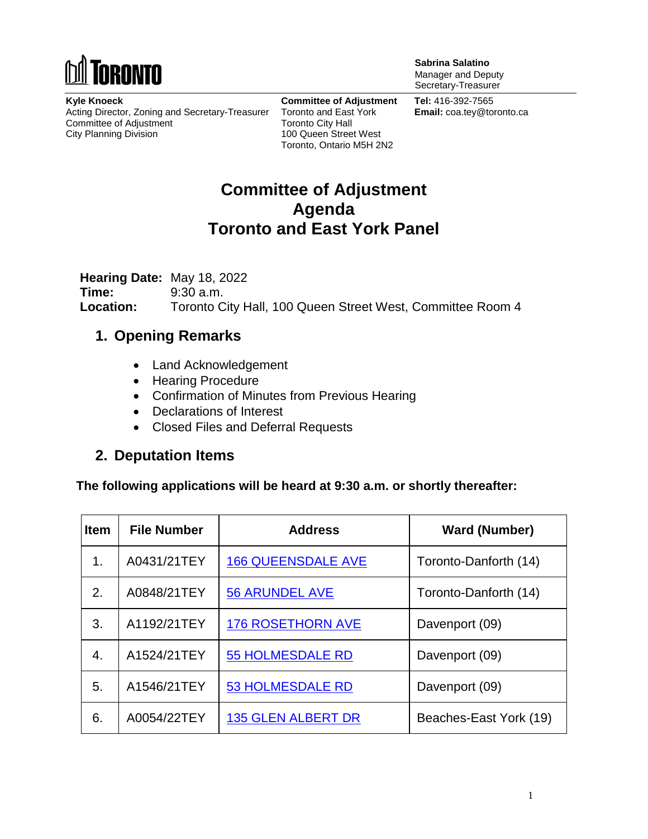

**Sabrina Salatino** Manager and Deputy Secretary-Treasurer

**Kyle Knoeck** Acting Director, Zoning and Secretary-Treasurer Committee of Adjustment City Planning Division

**Committee of Adjustment** Toronto and East York Toronto City Hall 100 Queen Street West Toronto, Ontario M5H 2N2

**Tel:** 416-392-7565 **Email:** coa.tey@toronto.ca

## **Committee of Adjustment Agenda Toronto and East York Panel**

**Hearing Date:** May 18, 2022 **Time:** 9:30 a.m. **Location:** Toronto City Hall, 100 Queen Street West, Committee Room 4

#### **1. Opening Remarks**

- Land Acknowledgement
- Hearing Procedure
- Confirmation of Minutes from Previous Hearing
- Declarations of Interest
- Closed Files and Deferral Requests

#### **2. Deputation Items**

**The following applications will be heard at 9:30 a.m. or shortly thereafter:**

| <b>Item</b> | <b>File Number</b> | <b>Address</b>            | <b>Ward (Number)</b>   |
|-------------|--------------------|---------------------------|------------------------|
| 1.          | A0431/21TEY        | <b>166 QUEENSDALE AVE</b> | Toronto-Danforth (14)  |
| 2.          | A0848/21TEY        | <b>56 ARUNDEL AVE</b>     | Toronto-Danforth (14)  |
| 3.          | A1192/21TEY        | <b>176 ROSETHORN AVE</b>  | Davenport (09)         |
| 4.          | A1524/21TEY        | <b>55 HOLMESDALE RD</b>   | Davenport (09)         |
| 5.          | A1546/21TEY        | <b>53 HOLMESDALE RD</b>   | Davenport (09)         |
| 6.          | A0054/22TEY        | <b>135 GLEN ALBERT DR</b> | Beaches-East York (19) |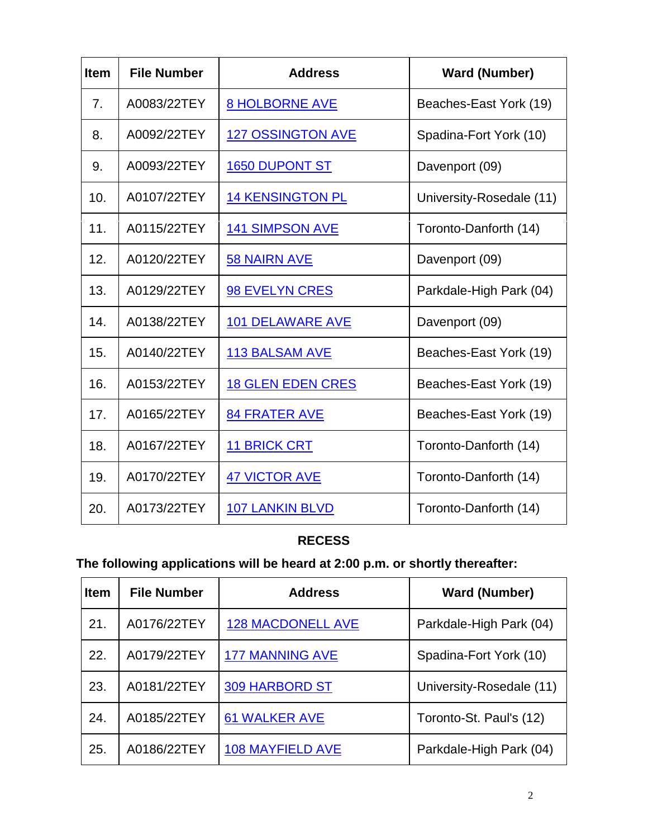| Item | <b>File Number</b> | <b>Address</b>           | <b>Ward (Number)</b>     |
|------|--------------------|--------------------------|--------------------------|
| 7.   | A0083/22TEY        | <b>8 HOLBORNE AVE</b>    | Beaches-East York (19)   |
| 8.   | A0092/22TEY        | <b>127 OSSINGTON AVE</b> | Spadina-Fort York (10)   |
| 9.   | A0093/22TEY        | <b>1650 DUPONT ST</b>    | Davenport (09)           |
| 10.  | A0107/22TEY        | <b>14 KENSINGTON PL</b>  | University-Rosedale (11) |
| 11.  | A0115/22TEY        | <b>141 SIMPSON AVE</b>   | Toronto-Danforth (14)    |
| 12.  | A0120/22TEY        | <b>58 NAIRN AVE</b>      | Davenport (09)           |
| 13.  | A0129/22TEY        | <b>98 EVELYN CRES</b>    | Parkdale-High Park (04)  |
| 14.  | A0138/22TEY        | <b>101 DELAWARE AVE</b>  | Davenport (09)           |
| 15.  | A0140/22TEY        | <b>113 BALSAM AVE</b>    | Beaches-East York (19)   |
| 16.  | A0153/22TEY        | <b>18 GLEN EDEN CRES</b> | Beaches-East York (19)   |
| 17.  | A0165/22TEY        | <b>84 FRATER AVE</b>     | Beaches-East York (19)   |
| 18.  | A0167/22TEY        | <b>11 BRICK CRT</b>      | Toronto-Danforth (14)    |
| 19.  | A0170/22TEY        | <b>47 VICTOR AVE</b>     | Toronto-Danforth (14)    |
| 20.  | A0173/22TEY        | <b>107 LANKIN BLVD</b>   | Toronto-Danforth (14)    |

## **RECESS**

# **The following applications will be heard at 2:00 p.m. or shortly thereafter:**

| <b>Item</b> | <b>File Number</b> | <b>Address</b>           | <b>Ward (Number)</b>     |
|-------------|--------------------|--------------------------|--------------------------|
| 21.         | A0176/22TEY        | <b>128 MACDONELL AVE</b> | Parkdale-High Park (04)  |
| 22.         | A0179/22TEY        | <b>177 MANNING AVE</b>   | Spadina-Fort York (10)   |
| 23.         | A0181/22TEY        | <b>309 HARBORD ST</b>    | University-Rosedale (11) |
| 24.         | A0185/22TEY        | <b>61 WALKER AVE</b>     | Toronto-St. Paul's (12)  |
| 25.         | A0186/22TEY        | <b>108 MAYFIELD AVE</b>  | Parkdale-High Park (04)  |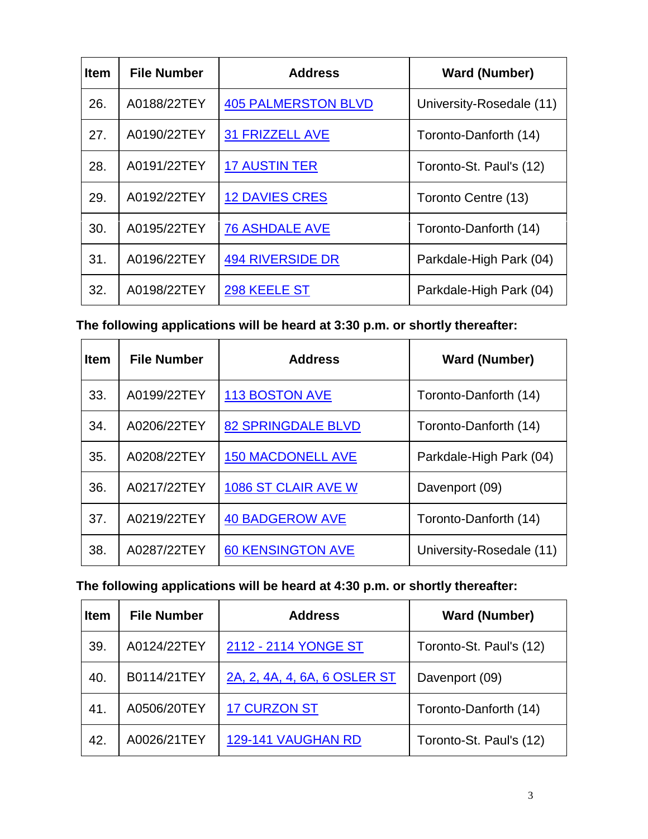| <b>Item</b> | <b>File Number</b> | <b>Address</b>             | <b>Ward (Number)</b>     |
|-------------|--------------------|----------------------------|--------------------------|
| 26.         | A0188/22TEY        | <b>405 PALMERSTON BLVD</b> | University-Rosedale (11) |
| 27.         | A0190/22TEY        | <b>31 FRIZZELL AVE</b>     | Toronto-Danforth (14)    |
| 28.         | A0191/22TEY        | <b>17 AUSTIN TER</b>       | Toronto-St. Paul's (12)  |
| 29.         | A0192/22TEY        | <b>12 DAVIES CRES</b>      | Toronto Centre (13)      |
| 30.         | A0195/22TEY        | <b>76 ASHDALE AVE</b>      | Toronto-Danforth (14)    |
| 31.         | A0196/22TEY        | <b>494 RIVERSIDE DR</b>    | Parkdale-High Park (04)  |
| 32.         | A0198/22TEY        | 298 KEELE ST               | Parkdale-High Park (04)  |

**The following applications will be heard at 3:30 p.m. or shortly thereafter:**

| <b>Item</b> | <b>File Number</b> | <b>Address</b>            | <b>Ward (Number)</b>     |
|-------------|--------------------|---------------------------|--------------------------|
| 33.         | A0199/22TEY        | <b>113 BOSTON AVE</b>     | Toronto-Danforth (14)    |
| 34.         | A0206/22TEY        | <b>82 SPRINGDALE BLVD</b> | Toronto-Danforth (14)    |
| 35.         | A0208/22TEY        | <b>150 MACDONELL AVE</b>  | Parkdale-High Park (04)  |
| 36.         | A0217/22TEY        | 1086 ST CLAIR AVE W       | Davenport (09)           |
| 37.         | A0219/22TEY        | <b>40 BADGEROW AVE</b>    | Toronto-Danforth (14)    |
| 38.         | A0287/22TEY        | <b>60 KENSINGTON AVE</b>  | University-Rosedale (11) |

### **The following applications will be heard at 4:30 p.m. or shortly thereafter:**

| <b>Item</b> | <b>File Number</b> | <b>Address</b>               | <b>Ward (Number)</b>    |
|-------------|--------------------|------------------------------|-------------------------|
| 39.         | A0124/22TEY        | 2112 - 2114 YONGE ST         | Toronto-St. Paul's (12) |
| 40.         | B0114/21TEY        | 2A, 2, 4A, 4, 6A, 6 OSLER ST | Davenport (09)          |
| 41.         | A0506/20TEY        | <b>17 CURZON ST</b>          | Toronto-Danforth (14)   |
| 42.         | A0026/21TEY        | 129-141 VAUGHAN RD           | Toronto-St. Paul's (12) |